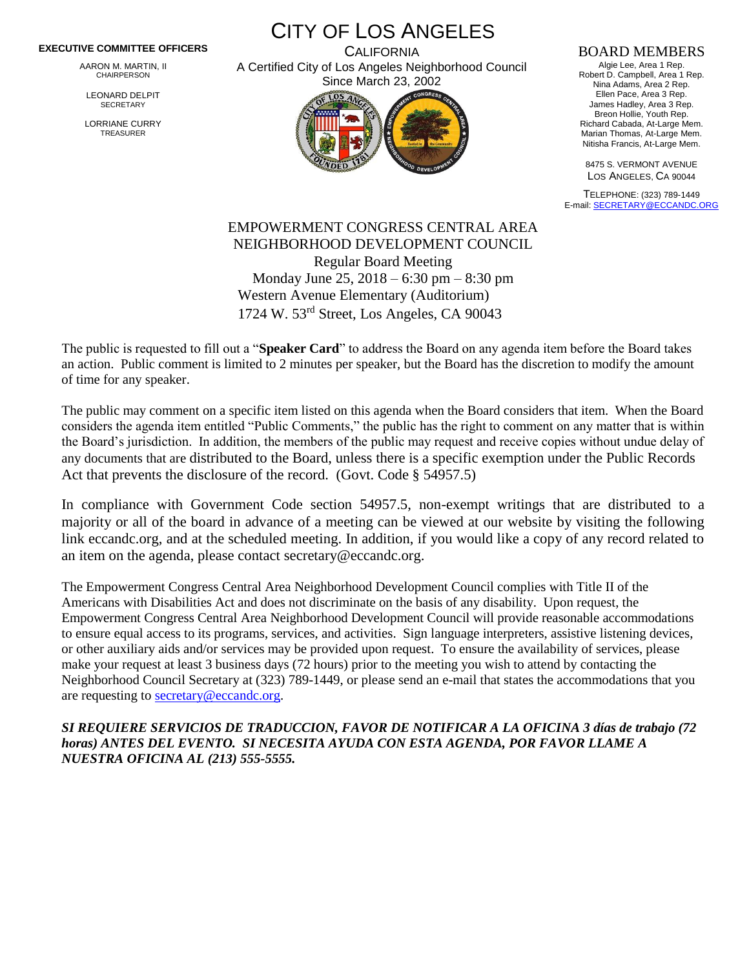## **EXECUTIVE COMMITTEE OFFICERS**

AARON M. MARTIN, II CHAIRPERSON

LEONARD DELPIT **SECRETARY** 

LORRIANE CURRY TREASURER

CITY OF LOS ANGELES

**CALIFORNIA** A Certified City of Los Angeles Neighborhood Council Since March 23, 2002



## BOARD MEMBERS

Algie Lee, Area 1 Rep. Robert D. Campbell, Area 1 Rep. Nina Adams, Area 2 Rep. Ellen Pace, Area 3 Rep. James Hadley, Area 3 Rep. Breon Hollie, Youth Rep. Richard Cabada, At-Large Mem. Marian Thomas, At-Large Mem. Nitisha Francis, At-Large Mem.

8475 S. VERMONT AVENUE LOS ANGELES, CA 90044

TELEPHONE: (323) 789-1449 E-mail[: SECRETARY@ECCANDC.ORG](mailto:SECRETARY@ECCANDC.ORG)

## EMPOWERMENT CONGRESS CENTRAL AREA NEIGHBORHOOD DEVELOPMENT COUNCIL Regular Board Meeting Monday June 25, 2018 – 6:30 pm – 8:30 pm Western Avenue Elementary (Auditorium) 1724 W. 53rd Street, Los Angeles, CA 90043

The public is requested to fill out a "**Speaker Card**" to address the Board on any agenda item before the Board takes an action. Public comment is limited to 2 minutes per speaker, but the Board has the discretion to modify the amount of time for any speaker.

The public may comment on a specific item listed on this agenda when the Board considers that item. When the Board considers the agenda item entitled "Public Comments," the public has the right to comment on any matter that is within the Board's jurisdiction. In addition, the members of the public may request and receive copies without undue delay of any documents that are distributed to the Board, unless there is a specific exemption under the Public Records Act that prevents the disclosure of the record. (Govt. Code § 54957.5)

In compliance with Government Code section 54957.5, non-exempt writings that are distributed to a majority or all of the board in advance of a meeting can be viewed at our website by visiting the following link eccandc.org, and at the scheduled meeting. In addition, if you would like a copy of any record related to an item on the agenda, please contact secretary@eccandc.org.

The Empowerment Congress Central Area Neighborhood Development Council complies with Title II of the Americans with Disabilities Act and does not discriminate on the basis of any disability. Upon request, the Empowerment Congress Central Area Neighborhood Development Council will provide reasonable accommodations to ensure equal access to its programs, services, and activities. Sign language interpreters, assistive listening devices, or other auxiliary aids and/or services may be provided upon request. To ensure the availability of services, please make your request at least 3 business days (72 hours) prior to the meeting you wish to attend by contacting the Neighborhood Council Secretary at (323) 789-1449, or please send an e-mail that states the accommodations that you are requesting to [secretary@eccandc.org.](mailto:secretary@eccandc.org)

*SI REQUIERE SERVICIOS DE TRADUCCION, FAVOR DE NOTIFICAR A LA OFICINA 3 días de trabajo (72 horas) ANTES DEL EVENTO. SI NECESITA AYUDA CON ESTA AGENDA, POR FAVOR LLAME A NUESTRA OFICINA AL (213) 555-5555.*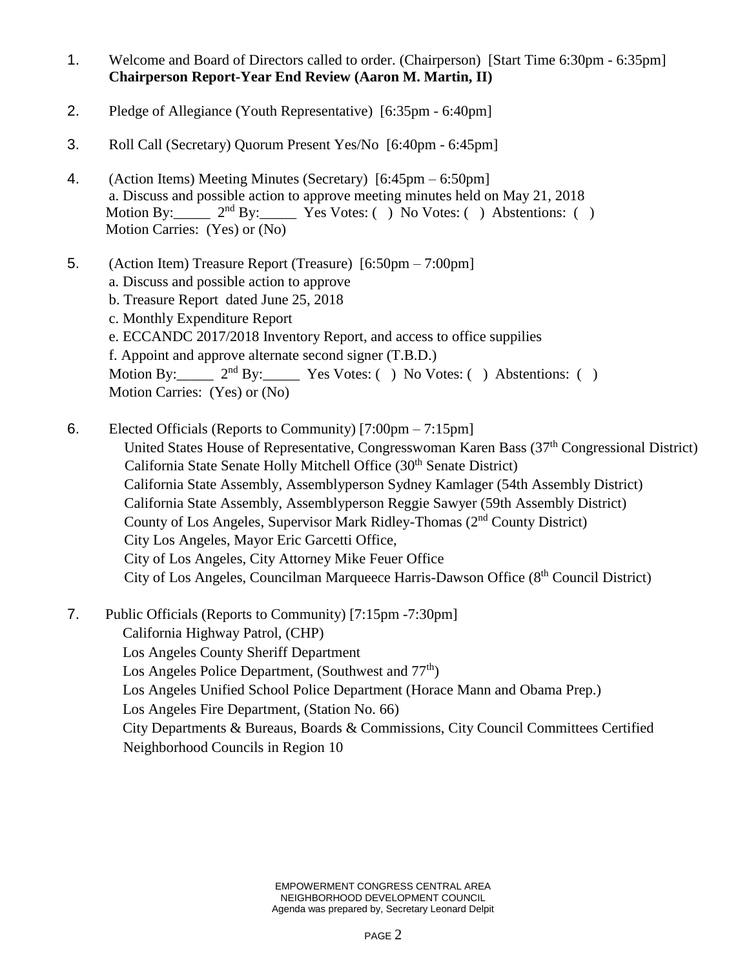- 1. Welcome and Board of Directors called to order. (Chairperson) [Start Time 6:30pm 6:35pm] **Chairperson Report-Year End Review (Aaron M. Martin, II)**
- 2. Pledge of Allegiance (Youth Representative) [6:35pm 6:40pm]
- 3. Roll Call (Secretary) Quorum Present Yes/No [6:40pm 6:45pm]
- 4. (Action Items) Meeting Minutes (Secretary) [6:45pm 6:50pm] a. Discuss and possible action to approve meeting minutes held on May 21, 2018 Motion By:  $2<sup>nd</sup> By: Yes Votes: ( ) No Votes: ( ) Abstentions: ( )$ Motion Carries: (Yes) or (No)
- 5. (Action Item) Treasure Report (Treasure) [6:50pm 7:00pm] a. Discuss and possible action to approve b. Treasure Report dated June 25, 2018 c. Monthly Expenditure Report
	- e. ECCANDC 2017/2018 Inventory Report, and access to office suppilies

f. Appoint and approve alternate second signer (T.B.D.)

Motion By: 2<sup>nd</sup> By: Yes Votes: () No Votes: () Abstentions: () Motion Carries: (Yes) or (No)

- 6. Elected Officials (Reports to Community) [7:00pm 7:15pm] United States House of Representative, Congresswoman Karen Bass (37<sup>th</sup> Congressional District) California State Senate Holly Mitchell Office (30<sup>th</sup> Senate District) California State Assembly, Assemblyperson Sydney Kamlager (54th Assembly District) California State Assembly, Assemblyperson Reggie Sawyer (59th Assembly District) County of Los Angeles, Supervisor Mark Ridley-Thomas (2nd County District) City Los Angeles, Mayor Eric Garcetti Office, City of Los Angeles, City Attorney Mike Feuer Office City of Los Angeles, Councilman Marqueece Harris-Dawson Office (8th Council District)
- 7. Public Officials (Reports to Community) [7:15pm -7:30pm]

California Highway Patrol, (CHP)

- Los Angeles County Sheriff Department
- Los Angeles Police Department, (Southwest and  $77<sup>th</sup>$ )
- Los Angeles Unified School Police Department (Horace Mann and Obama Prep.)
- Los Angeles Fire Department, (Station No. 66)

City Departments & Bureaus, Boards & Commissions, City Council Committees Certified Neighborhood Councils in Region 10